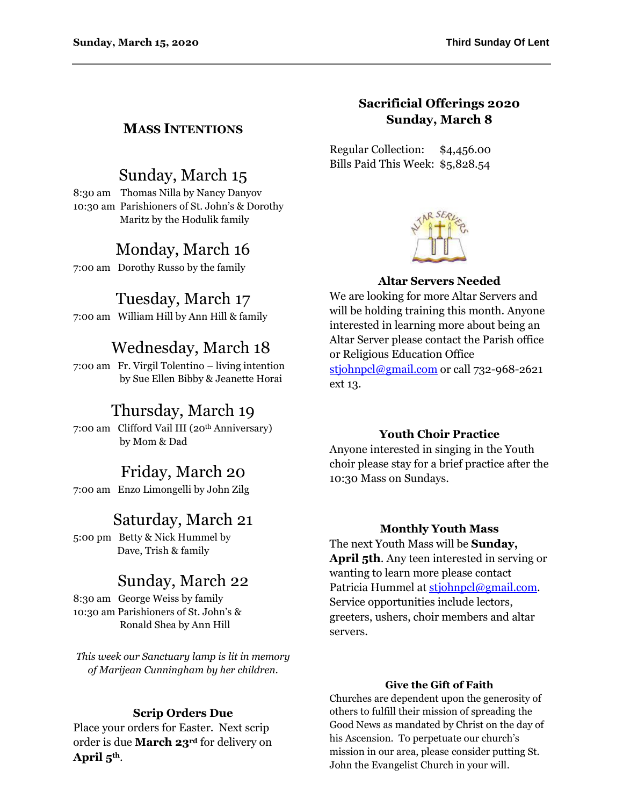## **MASS INTENTIONS**

# Sunday, March 15

8:30 am Thomas Nilla by Nancy Danyov 10:30 am Parishioners of St. John's & Dorothy Maritz by the Hodulik family

# Monday, March 16

7:00 am Dorothy Russo by the family

## Tuesday, March 17

7:00 am William Hill by Ann Hill & family

# Wednesday, March 18

7:00 am Fr. Virgil Tolentino – living intention by Sue Ellen Bibby & Jeanette Horai

## Thursday, March 19

7:00 am Clifford Vail III (20th Anniversary) by Mom & Dad

## Friday, March 20

7:00 am Enzo Limongelli by John Zilg

## Saturday, March 21

5:00 pm Betty & Nick Hummel by Dave, Trish & family

## Sunday, March 22

8:30 am George Weiss by family 10:30 am Parishioners of St. John's & Ronald Shea by Ann Hill

*This week our Sanctuary lamp is lit in memory of Marijean Cunningham by her children.*

## **Scrip Orders Due**

Place your orders for Easter. Next scrip order is due **March 23rd** for delivery on **April 5th**.

## **Sacrificial Offerings 2020 Sunday, March 8**

Regular Collection: \$4,456.00 Bills Paid This Week: \$5,828.54



## **Altar Servers Needed**

We are looking for more Altar Servers and will be holding training this month. Anyone interested in learning more about being an Altar Server please contact the Parish office or Religious Education Office [stjohnpcl@gmail.com](mailto:stjohnpcl@gmail.com) or call 732-968-2621 ext 13.

### **Youth Choir Practice**

Anyone interested in singing in the Youth choir please stay for a brief practice after the 10:30 Mass on Sundays.

### **Monthly Youth Mass**

The next Youth Mass will be **Sunday, April 5th**. Any teen interested in serving or wanting to learn more please contact Patricia Hummel at [stjohnpcl@gmail.com.](mailto:stjohnpcl@gmail.com) Service opportunities include lectors, greeters, ushers, choir members and altar servers.

### **Give the Gift of Faith**

Churches are dependent upon the generosity of others to fulfill their mission of spreading the Good News as mandated by Christ on the day of his Ascension. To perpetuate our church's mission in our area, please consider putting St. John the Evangelist Church in your will.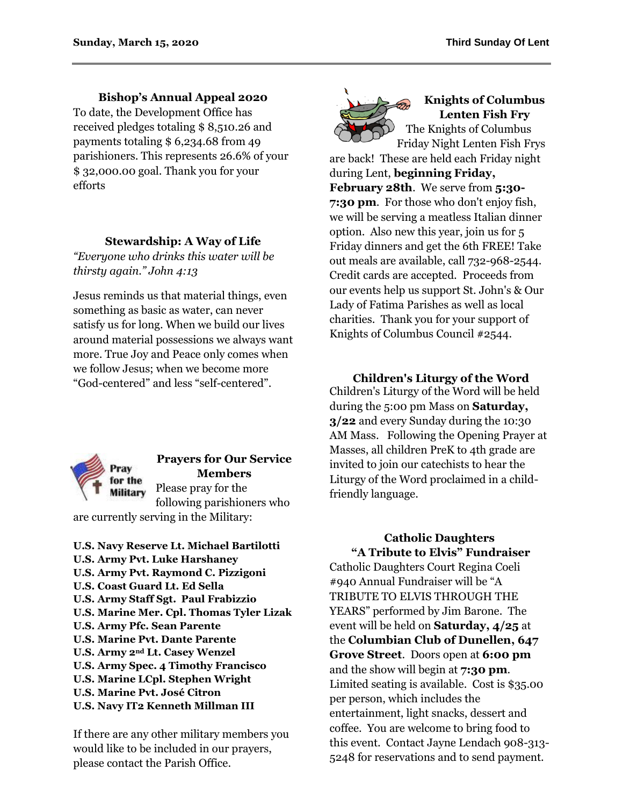**Bishop's Annual Appeal 2020**

To date, the Development Office has received pledges totaling \$ 8,510.26 and payments totaling \$ 6,234.68 from 49 parishioners. This represents 26.6% of your \$ 32,000.00 goal. Thank you for your efforts

## **Stewardship: A Way of Life**

*"Everyone who drinks this water will be thirsty again." John 4:13*

Jesus reminds us that material things, even something as basic as water, can never satisfy us for long. When we build our lives around material possessions we always want more. True Joy and Peace only comes when we follow Jesus; when we become more "God-centered" and less "self-centered".



## **Prayers for Our Service Members**

Please pray for the **Military** following parishioners who are currently serving in the Military:

**U.S. Navy Reserve Lt. Michael Bartilotti U.S. Army Pvt. Luke Harshaney U.S. Army Pvt. Raymond C. Pizzigoni U.S. Coast Guard Lt. Ed Sella U.S. Army Staff Sgt. Paul Frabizzio U.S. Marine Mer. Cpl. Thomas Tyler Lizak U.S. Army Pfc. Sean Parente U.S. Marine Pvt. Dante Parente U.S. Army 2nd Lt. Casey Wenzel U.S. Army Spec. 4 Timothy Francisco U.S. Marine LCpl. Stephen Wright U.S. Marine Pvt. José Citron U.S. Navy IT2 Kenneth Millman III**

If there are any other military members you would like to be included in our prayers, please contact the Parish Office.



## **Knights of Columbus Lenten Fish Fry** The Knights of Columbus

Friday Night Lenten Fish Frys are back! These are held each Friday night during Lent, **beginning Friday,**

**February 28th**. We serve from **5:30- 7:30 pm**. For those who don't enjoy fish, we will be serving a meatless Italian dinner option. Also new this year, join us for 5 Friday dinners and get the 6th FREE! Take out meals are available, call 732-968-2544. Credit cards are accepted. Proceeds from our events help us support St. John's & Our Lady of Fatima Parishes as well as local charities. Thank you for your support of Knights of Columbus Council #2544.

## **Children's Liturgy of the Word**

Children's Liturgy of the Word will be held during the 5:00 pm Mass on **Saturday, 3/22** and every Sunday during the 10:30 AM Mass. Following the Opening Prayer at Masses, all children PreK to 4th grade are invited to join our catechists to hear the Liturgy of the Word proclaimed in a childfriendly language.

## **Catholic Daughters "A Tribute to Elvis" Fundraiser**

Catholic Daughters Court Regina Coeli #940 Annual Fundraiser will be "A TRIBUTE TO ELVIS THROUGH THE YEARS" performed by Jim Barone. The event will be held on **Saturday, 4/25** at the **Columbian Club of Dunellen, 647 Grove Street**. Doors open at **6:00 pm** and the show will begin at **7:30 pm**. Limited seating is available. Cost is \$35.00 per person, which includes the entertainment, light snacks, dessert and coffee. You are welcome to bring food to this event. Contact Jayne Lendach 908-313- 5248 for reservations and to send payment.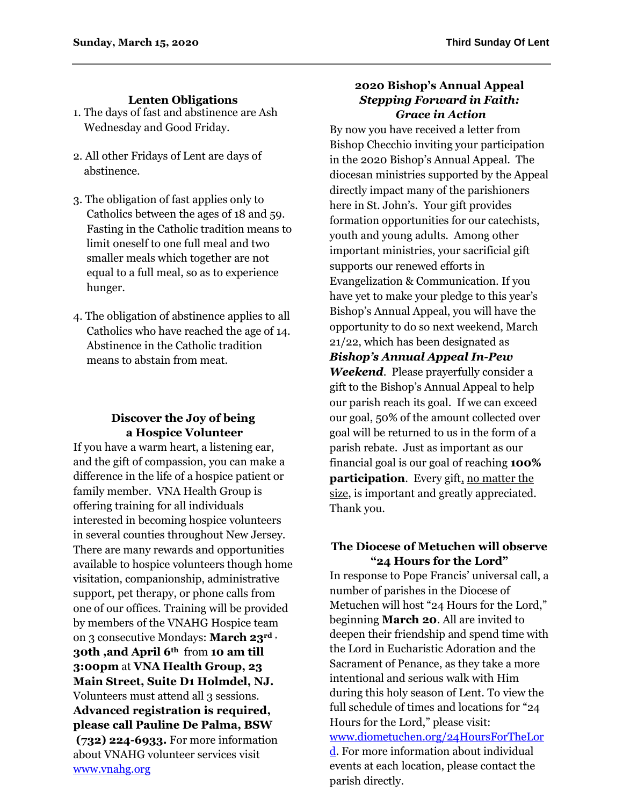## **Lenten Obligations**

- 1. The days of fast and abstinence are Ash Wednesday and Good Friday.
- 2. All other Fridays of Lent are days of abstinence.
- 3. The obligation of fast applies only to Catholics between the ages of 18 and 59. Fasting in the Catholic tradition means to limit oneself to one full meal and two smaller meals which together are not equal to a full meal, so as to experience hunger.
- 4. The obligation of abstinence applies to all Catholics who have reached the age of 14. Abstinence in the Catholic tradition means to abstain from meat.

## **Discover the Joy of being a Hospice Volunteer**

If you have a warm heart, a listening ear, and the gift of compassion, you can make a difference in the life of a hospice patient or family member. VNA Health Group is offering training for all individuals interested in becoming hospice volunteers in several counties throughout New Jersey. There are many rewards and opportunities available to hospice volunteers though home visitation, companionship, administrative support, pet therapy, or phone calls from one of our offices. Training will be provided by members of the VNAHG Hospice team on 3 consecutive Mondays: **March 23rd , 30th ,and April 6th** from **10 am till 3:00pm** at **VNA Health Group, 23 Main Street, Suite D1 Holmdel, NJ.**  Volunteers must attend all 3 sessions. **Advanced registration is required, please call Pauline De Palma, BSW (732) 224-6933.** For more information about VNAHG volunteer services visit [www.vnahg.org](http://www.vnahg.org/)

### **2020 Bishop's Annual Appeal** *Stepping Forward in Faith: Grace in Action*

By now you have received a letter from Bishop Checchio inviting your participation in the 2020 Bishop's Annual Appeal. The diocesan ministries supported by the Appeal directly impact many of the parishioners here in St. John's. Your gift provides formation opportunities for our catechists, youth and young adults. Among other important ministries, your sacrificial gift supports our renewed efforts in Evangelization & Communication. If you have yet to make your pledge to this year's Bishop's Annual Appeal, you will have the opportunity to do so next weekend, March 21/22, which has been designated as *Bishop's Annual Appeal In-Pew Weekend*. Please prayerfully consider a gift to the Bishop's Annual Appeal to help our parish reach its goal. If we can exceed our goal, 50% of the amount collected over goal will be returned to us in the form of a parish rebate. Just as important as our financial goal is our goal of reaching **100% participation**. Every gift, no matter the size, is important and greatly appreciated. Thank you.

## **The Diocese of Metuchen will observe "24 Hours for the Lord"**

In response to Pope Francis' universal call, a number of parishes in the Diocese of Metuchen will host "24 Hours for the Lord," beginning **March 20**. All are invited to deepen their friendship and spend time with the Lord in Eucharistic Adoration and the Sacrament of Penance, as they take a more intentional and serious walk with Him during this holy season of Lent. To view the full schedule of times and locations for "24 Hours for the Lord," please visit: [www.diometuchen.org/24HoursForTheLor](http://www.diometuchen.org/24HoursForTheLord) [d.](http://www.diometuchen.org/24HoursForTheLord) For more information about individual events at each location, please contact the

parish directly.